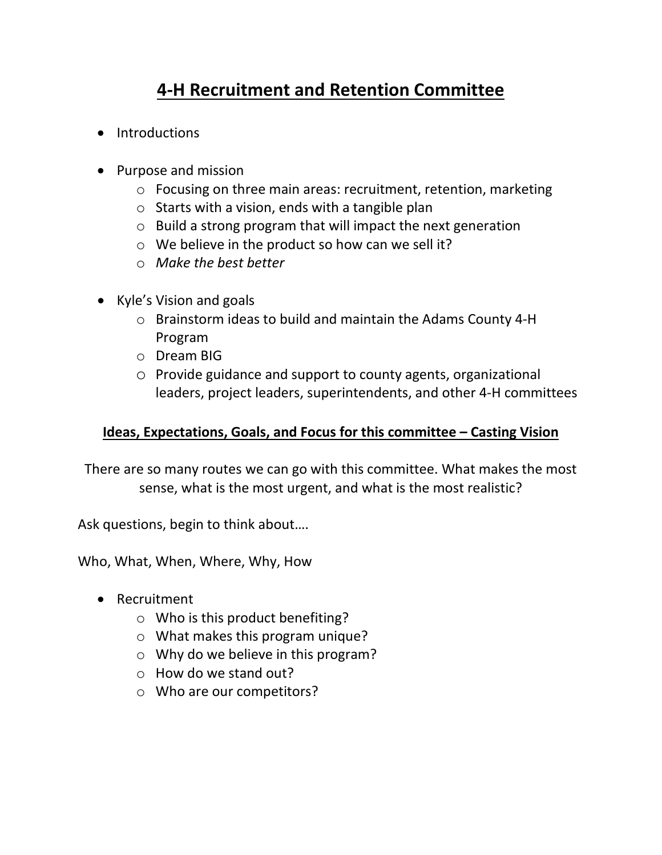## **4-H Recruitment and Retention Committee**

- Introductions
- Purpose and mission
	- o Focusing on three main areas: recruitment, retention, marketing
	- $\circ$  Starts with a vision, ends with a tangible plan
	- o Build a strong program that will impact the next generation
	- o We believe in the product so how can we sell it?
	- o *Make the best better*
- Kyle's Vision and goals
	- o Brainstorm ideas to build and maintain the Adams County 4-H Program
	- o Dream BIG
	- o Provide guidance and support to county agents, organizational leaders, project leaders, superintendents, and other 4-H committees

## **Ideas, Expectations, Goals, and Focus for this committee – Casting Vision**

There are so many routes we can go with this committee. What makes the most sense, what is the most urgent, and what is the most realistic?

Ask questions, begin to think about….

Who, What, When, Where, Why, How

- Recruitment
	- o Who is this product benefiting?
	- o What makes this program unique?
	- o Why do we believe in this program?
	- o How do we stand out?
	- o Who are our competitors?